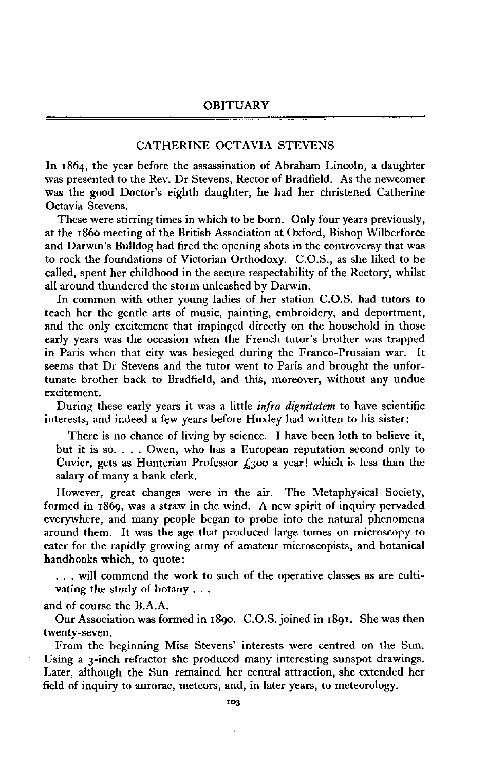## CATHERINE OCTAVIA STEVENS

In **1864,** the year before the assassination of Abraham Lincoln, a daughter was presented to the Rev. Dr Stevens, Rector of Bradfield. As the newcomer was the good Doctor's eighth daughter, he had her christened Catherine Octavia Stevens.

These were stirring times in which to be born. Only four years previously, at the **1860** meeting of the British Association at Oxford, Bishop Wilberforce and Darwin's Bulldog had fired the opening shots in the controversy that was to rock the foundations of Victorian Orthodoxy. C.O.S., as she liked to be called, spent her childhood in the secure respectability of the Rectory, whilst all around thundered the storm unleashed by Darwin.

In common with other young ladies of her station C.O.S. had tutors to teach her the gentle arts of music, painting, embroidery, and deportment, and the only excitement that impinged directly on the household in those early years was the occasion when the French tutor's brother was trapped in Paris when that city was besieged during the Franco-Prussian war. It seems that Dr Stevens and the tutor went to Paris and brought the unfortunate brother back to Bradfield, and this, moreover, without any undue excitement.

During these early years it was a little *infra dignitatem* to have scientific interests, and indeed a few years before Huxley had written to his sister:

There is no chance of living by science. I have been loth to believe it, but it is so. . . . Owen, who has a European reputation second only to Cuvier, gets as Hunterian Professor  $f_1$ 300 a year! which is less than the salary of many a bank clerk.

However, great changes were in the air. The Metaphysical Society, formed in **1869,** was a straw in the wind. A new spirit of inquiry pervaded everywhere, and many people began to probe into the natural phenomena around them. It was the age that produced large tomes on microscopy to cater for the rapidly growing army of amateur microscopists, and botanical handbooks which, to quote:

. . . will commend the work to such of the operative classes as are cultivating the study of botany . . .

and of course the B.A.A.

Our Association was formed in 1890. C.O.S. joined in 1891. She was then twenty-seven.

From the beginning Miss Stevens' interests were centred on the Sun. Using a **3**-inch refractor she produced many interesting sunspot drawings. Later, although the Sun remained her central attraction, she extended her field of inquiry to aurorae, meteors, and, in later years, to meteorology.